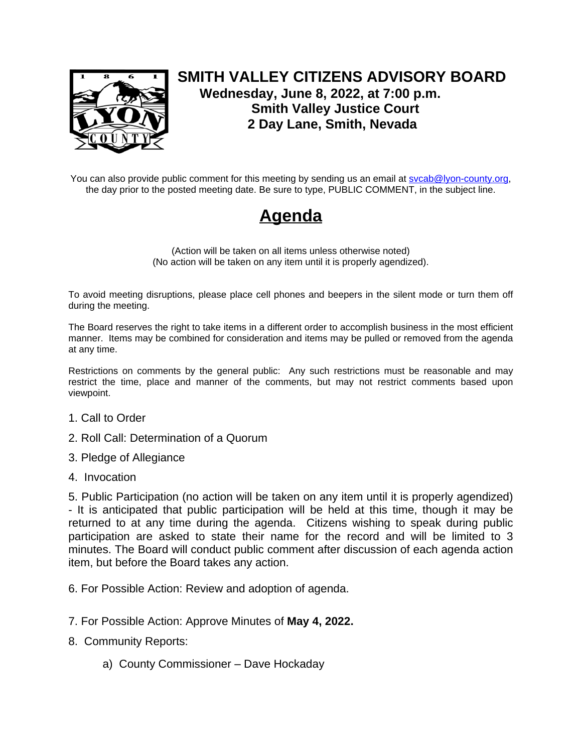

## **SMITH VALLEY CITIZENS ADVISORY BOARD Wednesday, June 8, 2022, at 7:00 p.m. Smith Valley Justice Court 2 Day Lane, Smith, Nevada**

You can also provide public comment for this meeting by sending us an email at sycab@lyon-county.org, the day prior to the posted meeting date. Be sure to type, PUBLIC COMMENT, in the subject line.

## **Agenda**

(Action will be taken on all items unless otherwise noted) (No action will be taken on any item until it is properly agendized).

To avoid meeting disruptions, please place cell phones and beepers in the silent mode or turn them off during the meeting.

The Board reserves the right to take items in a different order to accomplish business in the most efficient manner. Items may be combined for consideration and items may be pulled or removed from the agenda at any time.

Restrictions on comments by the general public: Any such restrictions must be reasonable and may restrict the time, place and manner of the comments, but may not restrict comments based upon viewpoint.

- 1. Call to Order
- 2. Roll Call: Determination of a Quorum
- 3. Pledge of Allegiance
- 4. Invocation

5. Public Participation (no action will be taken on any item until it is properly agendized) - It is anticipated that public participation will be held at this time, though it may be returned to at any time during the agenda. Citizens wishing to speak during public participation are asked to state their name for the record and will be limited to 3 minutes. The Board will conduct public comment after discussion of each agenda action item, but before the Board takes any action.

- 6. For Possible Action: Review and adoption of agenda.
- 7. For Possible Action: Approve Minutes of **May 4, 2022.**
- 8. Community Reports:
	- a) County Commissioner Dave Hockaday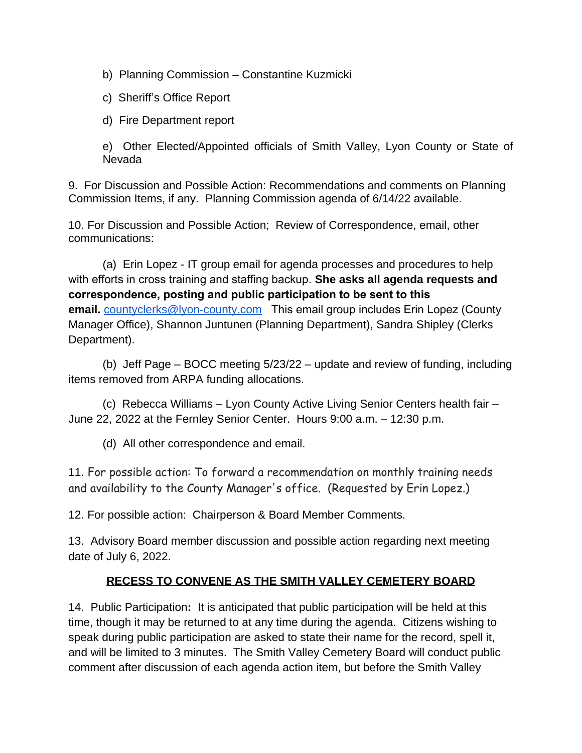b) Planning Commission – Constantine Kuzmicki

c) Sheriff's Office Report

d) Fire Department report

e) Other Elected/Appointed officials of Smith Valley, Lyon County or State of Nevada

9. For Discussion and Possible Action: Recommendations and comments on Planning Commission Items, if any. Planning Commission agenda of 6/14/22 available.

10. For Discussion and Possible Action; Review of Correspondence, email, other communications:

(a) Erin Lopez - IT group email for agenda processes and procedures to help with efforts in cross training and staffing backup. **She asks all agenda requests and correspondence, posting and public participation to be sent to this email.** [countyclerks@lyon-county.com](mailto:countyclerks@lyon-county.com) This email group includes Erin Lopez (County Manager Office), Shannon Juntunen (Planning Department), Sandra Shipley (Clerks Department).

(b) Jeff Page – BOCC meeting 5/23/22 – update and review of funding, including items removed from ARPA funding allocations.

(c) Rebecca Williams – Lyon County Active Living Senior Centers health fair – June 22, 2022 at the Fernley Senior Center. Hours 9:00 a.m. – 12:30 p.m.

(d) All other correspondence and email.

11. For possible action: To forward a recommendation on monthly training needs and availability to the County Manager's office. (Requested by Erin Lopez.)

12. For possible action: Chairperson & Board Member Comments.

13. Advisory Board member discussion and possible action regarding next meeting date of July 6, 2022.

## **RECESS TO CONVENE AS THE SMITH VALLEY CEMETERY BOARD**

14. Public Participation**:** It is anticipated that public participation will be held at this time, though it may be returned to at any time during the agenda. Citizens wishing to speak during public participation are asked to state their name for the record, spell it, and will be limited to 3 minutes. The Smith Valley Cemetery Board will conduct public comment after discussion of each agenda action item, but before the Smith Valley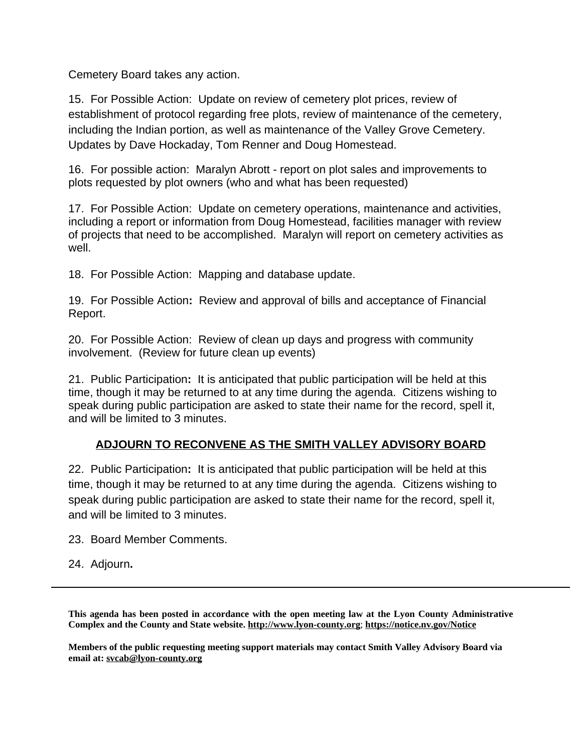Cemetery Board takes any action.

15. For Possible Action:Update on review of cemetery plot prices, review of establishment of protocol regarding free plots, review of maintenance of the cemetery, including the Indian portion, as well as maintenance of the Valley Grove Cemetery. Updates by Dave Hockaday, Tom Renner and Doug Homestead.

16. For possible action: Maralyn Abrott - report on plot sales and improvements to plots requested by plot owners (who and what has been requested)

17. For Possible Action: Update on cemetery operations, maintenance and activities, including a report or information from Doug Homestead, facilities manager with review of projects that need to be accomplished. Maralyn will report on cemetery activities as well.

18. For Possible Action: Mapping and database update.

19. For Possible Action**:** Review and approval of bills and acceptance of Financial Report.

20. For Possible Action: Review of clean up days and progress with community involvement. (Review for future clean up events)

21. Public Participation**:** It is anticipated that public participation will be held at this time, though it may be returned to at any time during the agenda. Citizens wishing to speak during public participation are asked to state their name for the record, spell it, and will be limited to 3 minutes.

## **ADJOURN TO RECONVENE AS THE SMITH VALLEY ADVISORY BOARD**

22. Public Participation**:** It is anticipated that public participation will be held at this time, though it may be returned to at any time during the agenda. Citizens wishing to speak during public participation are asked to state their name for the record, spell it, and will be limited to 3 minutes.

23. Board Member Comments.

24. Adjourn**.**

**This agenda has been posted in accordance with the open meeting law at the Lyon County Administrative Complex and the County and State website. [http://www.lyon-county.org](http://www.lyon-county.org/)**; **<https://notice.nv.gov/Notice>**

**Members of the public requesting meeting support materials may contact Smith Valley Advisory Board via email at: [svcab@lyon-county.org](mailto:svcab@lyon-county.org)**